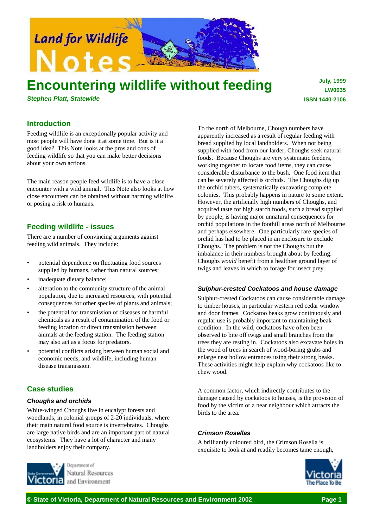

# **Encountering wildlife without feeding**

*Stephen Platt, Statewide*

**July, 1999 LW0035 ISSN 1440-2106**

# **Introduction**

Feeding wildlife is an exceptionally popular activity and most people will have done it at some time. But is it a good idea? This Note looks at the pros and cons of feeding wildlife so that you can make better decisions about your own actions.

The main reason people feed wildlife is to have a close encounter with a wild animal. This Note also looks at how close encounters can be obtained without harming wildlife or posing a risk to humans.

# **Feeding wildlife - issues**

There are a number of convincing arguments against feeding wild animals. They include:

- potential dependence on fluctuating food sources supplied by humans, rather than natural sources;
- inadequate dietary balance;
- alteration to the community structure of the animal population, due to increased resources, with potential consequences for other species of plants and animals;
- the potential for transmission of diseases or harmful chemicals as a result of contamination of the food or feeding location or direct transmission between animals at the feeding station. The feeding station may also act as a focus for predators.
- potential conflicts arising between human social and economic needs, and wildlife, including human disease transmission.

# **Case studies**

## *Choughs and orchids*

White-winged Choughs live in eucalypt forests and woodlands, in colonial groups of 2-20 individuals, where their main natural food source is invertebrates. Choughs are large native birds and are an important part of natural ecosystems. They have a lot of character and many landholders enjoy their company.



To the north of Melbourne, Chough numbers have apparently increased as a result of regular feeding with bread supplied by local landholders. When not being supplied with food from our larder, Choughs seek natural foods. Because Choughs are very systematic feeders, working together to locate food items, they can cause considerable disturbance to the bush. One food item that can be severely affected is orchids. The Choughs dig up the orchid tubers, systematically excavating complete colonies. This probably happens in nature to some extent. However, the artificially high numbers of Choughs, and acquired taste for high starch foods, such a bread supplied by people, is having major unnatural consequences for orchid populations in the foothill areas north of Melbourne and perhaps elsewhere. One particularly rare species of orchid has had to be placed in an enclosure to exclude Choughs. The problem is not the Choughs but the imbalance in their numbers brought about by feeding. Choughs *would* benefit from a healthier ground layer of twigs and leaves in which to forage for insect prey.

#### *Sulphur-crested Cockatoos and house damage*

Sulphur-crested Cockatoos can cause considerable damage to timber houses, in particular western red cedar window and door frames. Cockatoo beaks grow continuously and regular use is probably important to maintaining beak condition. In the wild, cockatoos have often been observed to bite off twigs and small branches from the trees they are resting in. Cockatoos also excavate holes in the wood of trees in search of wood-boring grubs and enlarge nest hollow entrances using their strong beaks. These activities might help explain why cockatoos like to chew wood.

A common factor, which indirectly contributes to the damage caused by cockatoos to houses, is the provision of food by the victim or a near neighbour which attracts the birds to the area.

## *Crimson Rosellas*

A brilliantly coloured bird, the Crimson Rosella is exquisite to look at and readily becomes tame enough,

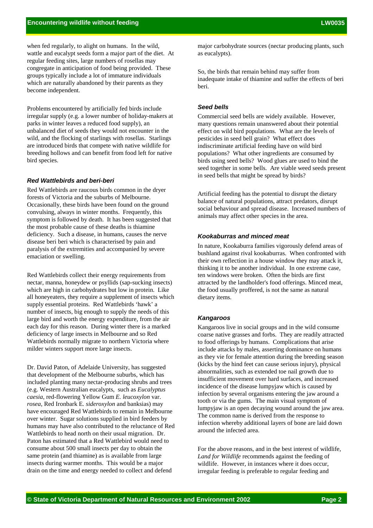when fed regularly, to alight on humans. In the wild, wattle and eucalypt seeds form a major part of the diet. At regular feeding sites, large numbers of rosellas may congregate in anticipation of food being provided. These groups typically include a lot of immature individuals which are naturally abandoned by their parents as they become independent.

Problems encountered by artificially fed birds include irregular supply (e.g. a lower number of holiday-makers at parks in winter leaves a reduced food supply), an unbalanced diet of seeds they would not encounter in the wild, and the flocking of starlings with rosellas. Starlings are introduced birds that compete with native wildlife for breeding hollows and can benefit from food left for native bird species.

#### *Red Wattlebirds and beri-beri*

Red Wattlebirds are raucous birds common in the dryer forests of Victoria and the suburbs of Melbourne. Occasionally, these birds have been found on the ground convulsing, always in winter months. Frequently, this symptom is followed by death. It has been suggested that the most probable cause of these deaths is thiamine deficiency. Such a disease, in humans, causes the nerve disease beri beri which is characterised by pain and paralysis of the extremities and accompanied by severe emaciation or swelling.

Red Wattlebirds collect their energy requirements from nectar, manna, honeydew or psyllids (sap-sucking insects) which are high in carbohydrates but low in protein. Like all honeyeaters, they require a supplement of insects which supply essential proteins. Red Wattlebirds 'hawk' a number of insects, big enough to supply the needs of this large bird and worth the energy expenditure, from the air each day for this reason. During winter there is a marked deficiency of large insects in Melbourne and so Red Wattlebirds normally migrate to northern Victoria where milder winters support more large insects.

Dr. David Paton, of Adelaide University, has suggested that development of the Melbourne suburbs, which has included planting many nectar-producing shrubs and trees (e.g. Western Australian eucalypts, such as *Eucalyptus caesia*, red-flowering Yellow Gum *E. leucoxylon* var. *rosea*, Red Ironbark E*. sideroxylon* and banksias) may have encouraged Red Wattlebirds to remain in Melbourne over winter. Sugar solutions supplied in bird feeders by humans may have also contributed to the reluctance of Red Wattlebirds to head north on their usual migration. Dr. Paton has estimated that a Red Wattlebird would need to consume about 500 small insects per day to obtain the same protein (and thiamine) as is available from large insects during warmer months. This would be a major drain on the time and energy needed to collect and defend

major carbohydrate sources (nectar producing plants, such as eucalypts).

So, the birds that remain behind may suffer from inadequate intake of thiamine and suffer the effects of beri beri.

#### *Seed bells*

Commercial seed bells are widely available. However, many questions remain unanswered about their potential effect on wild bird populations. What are the levels of pesticides in seed bell grain? What effect does indiscriminate artificial feeding have on wild bird populations? What other ingredients are consumed by birds using seed bells? Wood glues are used to bind the seed together in some bells. Are viable weed seeds present in seed bells that might be spread by birds?

Artificial feeding has the potential to disrupt the dietary balance of natural populations, attract predators, disrupt social behaviour and spread disease. Increased numbers of animals may affect other species in the area.

#### *Kookaburras and minced meat*

In nature, Kookaburra families vigorously defend areas of bushland against rival kookaburras. When confronted with their own reflection in a house window they may attack it, thinking it to be another individual. In one extreme case, ten windows were broken. Often the birds are first attracted by the landholder's food offerings. Minced meat, the food usually proffered, is not the same as natural dietary items.

#### *Kangaroos*

Kangaroos live in social groups and in the wild consume coarse native grasses and forbs. They are readily attracted to food offerings by humans. Complications that arise include attacks by males, asserting dominance on humans as they vie for female attention during the breeding season (kicks by the hind feet can cause serious injury), physical abnormalities, such as extended toe nail growth due to insufficient movement over hard surfaces, and increased incidence of the disease lumpyjaw which is caused by infection by several organisms entering the jaw around a tooth or via the gums. The main visual symptom of lumpyjaw is an open decaying wound around the jaw area. The common name is derived from the response to infection whereby additional layers of bone are laid down around the infected area.

For the above reasons, and in the best interest of wildlife, *Land for Wildlife* recommends against the feeding of wildlife. However, in instances where it does occur, irregular feeding is preferable to regular feeding and